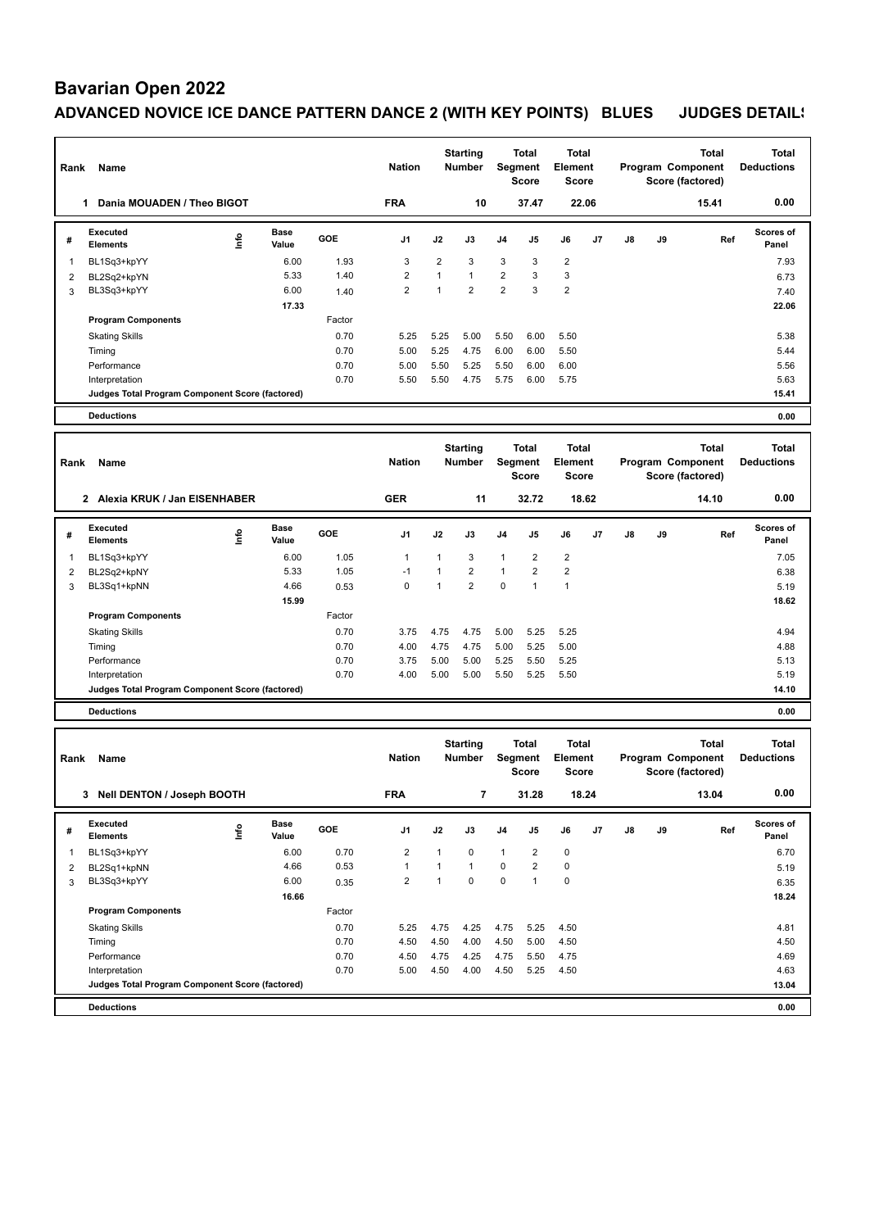# **Bavarian Open 2022**

### ADVANCED NOVICE ICE DANCE PATTERN DANCE 2 (WITH KEY POINTS) BLUES JUDGES DETAIL!

| Rank           | Name                                                              |      |                      |              | <b>Nation</b>           |                | <b>Starting</b><br><b>Number</b> |                  | <b>Total</b><br><b>Segment</b><br><b>Score</b> | Total<br><b>Element</b><br><b>Score</b> |    |    |    | <b>Total</b><br>Program Component<br>Score (factored) | <b>Total</b><br><b>Deductions</b> |
|----------------|-------------------------------------------------------------------|------|----------------------|--------------|-------------------------|----------------|----------------------------------|------------------|------------------------------------------------|-----------------------------------------|----|----|----|-------------------------------------------------------|-----------------------------------|
|                | Dania MOUADEN / Theo BIGOT<br>1                                   |      |                      |              | <b>FRA</b>              |                | 10                               |                  | 37.47                                          | 22.06                                   |    |    |    | 15.41                                                 | 0.00                              |
| #              | <b>Executed</b><br><b>Elements</b>                                | lnfo | <b>Base</b><br>Value | GOE          | J1                      | J2             | J3                               | J4               | J5                                             | J6                                      | J7 | J8 | J9 | Ref                                                   | <b>Scores of</b><br>Panel         |
| 1              | BL1Sq3+kpYY                                                       |      | 6.00                 | 1.93         | 3                       | $\overline{2}$ | 3                                | 3                | 3                                              | $\overline{2}$                          |    |    |    |                                                       | 7.93                              |
| $\overline{c}$ | BL2Sq2+kpYN                                                       |      | 5.33                 | 1.40         | $\overline{2}$          | $\mathbf{1}$   | 1                                | $\boldsymbol{2}$ | 3                                              | 3                                       |    |    |    |                                                       | 6.73                              |
| 3              | BL3Sq3+kpYY                                                       |      | 6.00                 | 1.40         | $\overline{2}$          | $\mathbf{1}$   | $\overline{2}$                   | $\overline{2}$   | 3                                              | $\overline{2}$                          |    |    |    |                                                       | 7.40                              |
|                |                                                                   |      | 17.33                |              |                         |                |                                  |                  |                                                |                                         |    |    |    |                                                       | 22.06                             |
|                | <b>Program Components</b>                                         |      |                      | Factor       |                         |                |                                  |                  |                                                |                                         |    |    |    |                                                       |                                   |
|                | <b>Skating Skills</b>                                             |      |                      | 0.70<br>0.70 | 5.25                    | 5.25<br>5.25   | 5.00<br>4.75                     | 5.50<br>6.00     | 6.00                                           | 5.50<br>5.50                            |    |    |    |                                                       | 5.38                              |
|                | Timing<br>Performance                                             |      |                      | 0.70         | 5.00<br>5.00            | 5.50           | 5.25                             | 5.50             | 6.00<br>6.00                                   | 6.00                                    |    |    |    |                                                       | 5.44<br>5.56                      |
|                | Interpretation                                                    |      |                      | 0.70         | 5.50                    | 5.50           | 4.75                             | 5.75             | 6.00                                           | 5.75                                    |    |    |    |                                                       | 5.63                              |
|                | Judges Total Program Component Score (factored)                   |      |                      |              |                         |                |                                  |                  |                                                |                                         |    |    |    |                                                       | 15.41                             |
|                | <b>Deductions</b>                                                 |      |                      |              |                         |                |                                  |                  |                                                |                                         |    |    |    |                                                       | 0.00                              |
|                |                                                                   |      |                      |              |                         |                |                                  |                  |                                                |                                         |    |    |    |                                                       |                                   |
| Rank           | Name                                                              |      |                      |              | <b>Nation</b>           |                | <b>Starting</b><br><b>Number</b> |                  | <b>Total</b><br>Segment<br><b>Score</b>        | <b>Total</b><br>Element<br>Score        |    |    |    | Total<br>Program Component<br>Score (factored)        | <b>Total</b><br><b>Deductions</b> |
|                | 2 Alexia KRUK / Jan EISENHABER                                    |      |                      |              | <b>GER</b>              |                | 11                               |                  | 32.72                                          | 18.62                                   |    |    |    | 14.10                                                 | 0.00                              |
| #              | Executed<br><b>Elements</b>                                       | ١nf٥ | <b>Base</b><br>Value | GOE          | J1                      | J2             | J3                               | J4               | J5                                             | J6                                      | J7 | J8 | J9 | Ref                                                   | <b>Scores of</b><br>Panel         |
| 1              | BL1Sq3+kpYY                                                       |      | 6.00                 | 1.05         | $\mathbf{1}$            | 1              | 3                                | $\mathbf{1}$     | $\overline{2}$                                 | $\overline{2}$                          |    |    |    |                                                       | 7.05                              |
| 2              | BL2Sq2+kpNY                                                       |      | 5.33                 | 1.05         | $-1$                    | 1              | 2                                | $\mathbf{1}$     | $\overline{2}$                                 | $\overline{2}$                          |    |    |    |                                                       | 6.38                              |
| 3              | BL3Sq1+kpNN                                                       |      | 4.66                 | 0.53         | $\mathbf 0$             | $\mathbf{1}$   | $\overline{2}$                   | $\pmb{0}$        | $\mathbf{1}$                                   | $\mathbf{1}$                            |    |    |    |                                                       | 5.19                              |
|                |                                                                   |      | 15.99                |              |                         |                |                                  |                  |                                                |                                         |    |    |    |                                                       | 18.62                             |
|                | <b>Program Components</b>                                         |      |                      | Factor       |                         |                |                                  |                  |                                                |                                         |    |    |    |                                                       |                                   |
|                | <b>Skating Skills</b><br>Timing                                   |      |                      | 0.70<br>0.70 | 3.75<br>4.00            | 4.75<br>4.75   | 4.75<br>4.75                     | 5.00<br>5.00     | 5.25<br>5.25                                   | 5.25<br>5.00                            |    |    |    |                                                       | 4.94<br>4.88                      |
|                | Performance                                                       |      |                      | 0.70         | 3.75                    | 5.00           | 5.00                             | 5.25             | 5.50                                           | 5.25                                    |    |    |    |                                                       | 5.13                              |
|                | Interpretation                                                    |      |                      | 0.70         | 4.00                    | 5.00           | 5.00                             | 5.50             | 5.25                                           | 5.50                                    |    |    |    |                                                       | 5.19                              |
|                | Judges Total Program Component Score (factored)                   |      |                      |              |                         |                |                                  |                  |                                                |                                         |    |    |    |                                                       | 14.10                             |
|                | <b>Deductions</b>                                                 |      |                      |              |                         |                |                                  |                  |                                                |                                         |    |    |    |                                                       | 0.00                              |
|                |                                                                   |      |                      |              |                         |                |                                  |                  |                                                |                                         |    |    |    |                                                       |                                   |
| Rank           | Name                                                              |      |                      |              | <b>Nation</b>           |                | <b>Starting</b><br><b>Number</b> |                  | <b>Total</b><br>Segment<br><b>Score</b>        | <b>Total</b><br>Element<br><b>Score</b> |    |    |    | <b>Total</b><br>Program Component<br>Score (factored) | <b>Total</b><br><b>Deductions</b> |
|                | 3 Nell DENTON / Joseph BOOTH                                      |      |                      |              | <b>FRA</b>              |                | $\overline{\mathbf{7}}$          |                  | 31.28                                          | 18.24                                   |    |    |    | 13.04                                                 | 0.00                              |
| #              | Executed<br>Elements                                              | lnfo | <b>Base</b><br>Value | GOE          | J1                      | J2             | J3                               | J4               | J5                                             | J6                                      | J7 | J8 | J9 | Ref                                                   | Scores of<br>Panel                |
| 1              | BL1Sq3+kpYY                                                       |      | 6.00                 | 0.70         | $\overline{\mathbf{c}}$ | $\mathbf{1}$   | 0                                | $\mathbf{1}$     | 2                                              | 0                                       |    |    |    |                                                       | 6.70                              |
| 2              | BL2Sq1+kpNN                                                       |      | 4.66                 | 0.53         | $\mathbf{1}$            | $\mathbf{1}$   | $\mathbf{1}$                     | $\pmb{0}$        | $\overline{c}$                                 | 0                                       |    |    |    |                                                       | 5.19                              |
| 3              | BL3Sq3+kpYY                                                       |      | 6.00                 | 0.35         | $\overline{2}$          | $\mathbf{1}$   | 0                                | $\mathsf 0$      | $\mathbf{1}$                                   | 0                                       |    |    |    |                                                       | 6.35                              |
|                |                                                                   |      | 16.66                |              |                         |                |                                  |                  |                                                |                                         |    |    |    |                                                       | 18.24                             |
|                | <b>Program Components</b>                                         |      |                      | Factor       |                         |                |                                  |                  |                                                |                                         |    |    |    |                                                       |                                   |
|                | <b>Skating Skills</b>                                             |      |                      | 0.70         | 5.25                    | 4.75           | 4.25                             | 4.75             | 5.25                                           | 4.50                                    |    |    |    |                                                       | 4.81                              |
|                | Timing                                                            |      |                      | 0.70         | 4.50                    | 4.50           | 4.00                             | 4.50             | 5.00                                           | 4.50                                    |    |    |    |                                                       | 4.50                              |
|                | Performance                                                       |      |                      | 0.70         | 4.50                    | 4.75           | 4.25                             | 4.75             | 5.50                                           | 4.75                                    |    |    |    |                                                       | 4.69                              |
|                | Interpretation<br>Judges Total Program Component Score (factored) |      |                      | 0.70         | 5.00                    | 4.50           | 4.00                             | 4.50             | 5.25                                           | 4.50                                    |    |    |    |                                                       | 4.63<br>13.04                     |
|                |                                                                   |      |                      |              |                         |                |                                  |                  |                                                |                                         |    |    |    |                                                       |                                   |
|                | <b>Deductions</b>                                                 |      |                      |              |                         |                |                                  |                  |                                                |                                         |    |    |    |                                                       | 0.00                              |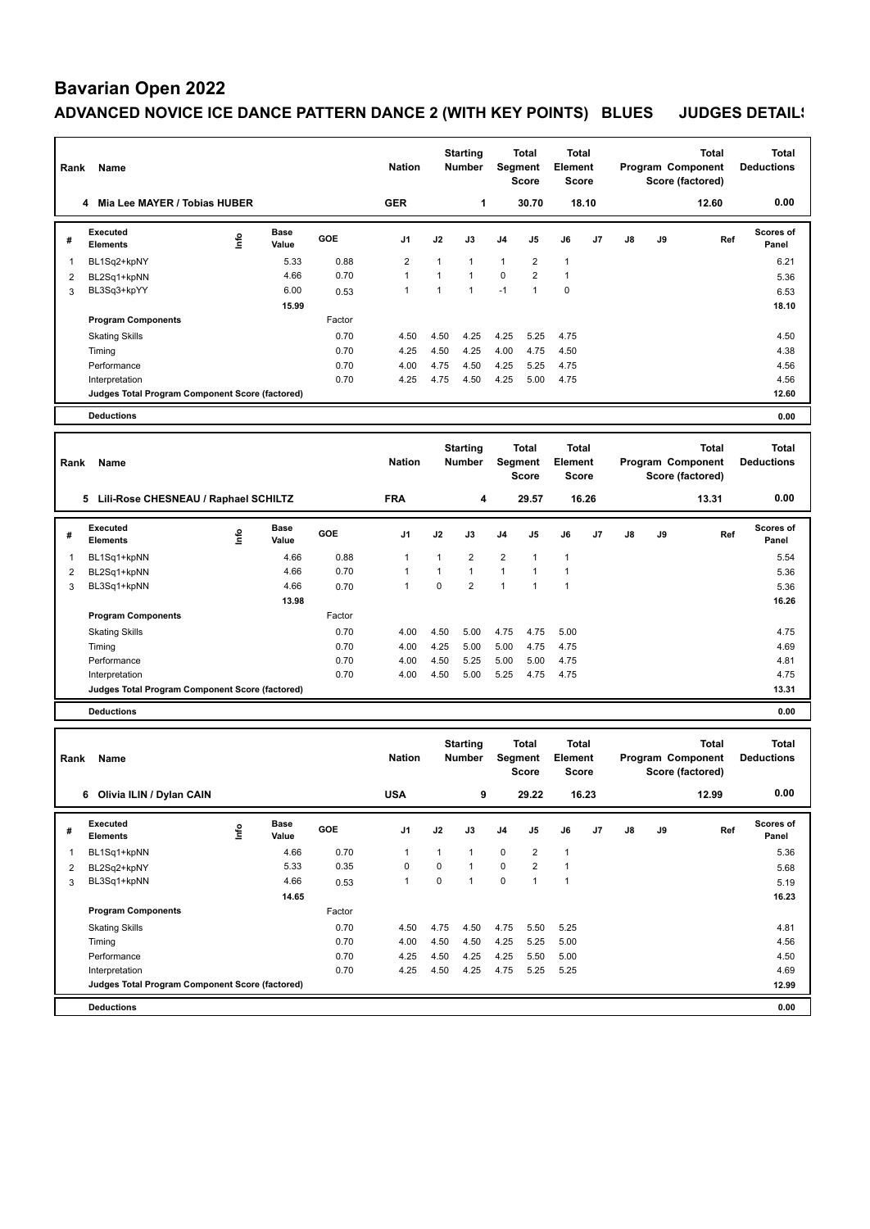### **Bavarian Open 2022**

### ADVANCED NOVICE ICE DANCE PATTERN DANCE 2 (WITH KEY POINTS) BLUES JUDGES DETAIL!

| Rank           | Name                                            |      |                      |              | <b>Nation</b>  |              | <b>Starting</b><br><b>Number</b> |                | <b>Total</b><br><b>Segment</b><br><b>Score</b> | Total<br><b>Element</b><br><b>Score</b> |    |    |    | <b>Total</b><br>Program Component<br>Score (factored) | <b>Total</b><br><b>Deductions</b> |
|----------------|-------------------------------------------------|------|----------------------|--------------|----------------|--------------|----------------------------------|----------------|------------------------------------------------|-----------------------------------------|----|----|----|-------------------------------------------------------|-----------------------------------|
|                | 4 Mia Lee MAYER / Tobias HUBER                  |      |                      |              | <b>GER</b>     |              | 1                                |                | 30.70                                          | 18.10                                   |    |    |    | 12.60                                                 | 0.00                              |
| #              | <b>Executed</b><br><b>Elements</b>              | lnfo | <b>Base</b><br>Value | GOE          | J1             | J2           | J3                               | J4             | J5                                             | J6                                      | J7 | J8 | J9 | Ref                                                   | <b>Scores of</b><br>Panel         |
| 1              | BL1Sq2+kpNY                                     |      | 5.33                 | 0.88         | $\overline{2}$ | $\mathbf{1}$ | 1                                | $\mathbf{1}$   | $\overline{2}$                                 | $\overline{1}$                          |    |    |    |                                                       | 6.21                              |
| $\overline{c}$ | BL2Sq1+kpNN                                     |      | 4.66                 | 0.70         | $\mathbf{1}$   | $\mathbf{1}$ | 1                                | $\pmb{0}$      | $\overline{2}$                                 | $\overline{1}$                          |    |    |    |                                                       | 5.36                              |
| 3              | BL3Sq3+kpYY                                     |      | 6.00                 | 0.53         | $\mathbf{1}$   | 1            | $\mathbf{1}$                     | $-1$           | $\mathbf{1}$                                   | 0                                       |    |    |    |                                                       | 6.53                              |
|                |                                                 |      | 15.99                |              |                |              |                                  |                |                                                |                                         |    |    |    |                                                       | 18.10                             |
|                | <b>Program Components</b>                       |      |                      | Factor       |                |              |                                  |                |                                                |                                         |    |    |    |                                                       |                                   |
|                | <b>Skating Skills</b>                           |      |                      | 0.70         | 4.50           | 4.50         | 4.25                             | 4.25           | 5.25                                           | 4.75                                    |    |    |    |                                                       | 4.50                              |
|                | Timing<br>Performance                           |      |                      | 0.70<br>0.70 | 4.25<br>4.00   | 4.50<br>4.75 | 4.25<br>4.50                     | 4.00<br>4.25   | 4.75<br>5.25                                   | 4.50<br>4.75                            |    |    |    |                                                       | 4.38<br>4.56                      |
|                | Interpretation                                  |      |                      | 0.70         | 4.25           | 4.75         | 4.50                             | 4.25           | 5.00                                           | 4.75                                    |    |    |    |                                                       | 4.56                              |
|                | Judges Total Program Component Score (factored) |      |                      |              |                |              |                                  |                |                                                |                                         |    |    |    |                                                       | 12.60                             |
|                | <b>Deductions</b>                               |      |                      |              |                |              |                                  |                |                                                |                                         |    |    |    |                                                       | 0.00                              |
|                |                                                 |      |                      |              |                |              |                                  |                |                                                |                                         |    |    |    |                                                       |                                   |
| Rank           | Name                                            |      |                      |              | <b>Nation</b>  |              | <b>Starting</b><br><b>Number</b> |                | <b>Total</b><br>Segment<br><b>Score</b>        | <b>Total</b><br>Element<br>Score        |    |    |    | Total<br>Program Component<br>Score (factored)        | <b>Total</b><br><b>Deductions</b> |
|                | 5 Lili-Rose CHESNEAU / Raphael SCHILTZ          |      |                      |              | <b>FRA</b>     |              | $\overline{\mathbf{4}}$          |                | 29.57                                          | 16.26                                   |    |    |    | 13.31                                                 | 0.00                              |
| #              | Executed<br><b>Elements</b>                     | ١nf٥ | <b>Base</b><br>Value | GOE          | J1             | J2           | J3                               | J4             | J5                                             | J6                                      | J7 | J8 | J9 | Ref                                                   | <b>Scores of</b><br>Panel         |
| 1              | BL1Sq1+kpNN                                     |      | 4.66                 | 0.88         | $\mathbf{1}$   | 1            | $\overline{2}$                   | $\overline{2}$ | 1                                              | $\mathbf{1}$                            |    |    |    |                                                       | 5.54                              |
| 2              | BL2Sq1+kpNN                                     |      | 4.66                 | 0.70         | 1              | 1            | $\mathbf{1}$                     | $\mathbf{1}$   | 1                                              | $\overline{1}$                          |    |    |    |                                                       | 5.36                              |
| 3              | BL3Sq1+kpNN                                     |      | 4.66                 | 0.70         | $\mathbf{1}$   | 0            | $\overline{2}$                   | $\mathbf{1}$   | $\mathbf{1}$                                   | $\overline{1}$                          |    |    |    |                                                       | 5.36                              |
|                |                                                 |      | 13.98                |              |                |              |                                  |                |                                                |                                         |    |    |    |                                                       | 16.26                             |
|                | <b>Program Components</b>                       |      |                      | Factor       |                |              |                                  |                |                                                |                                         |    |    |    |                                                       |                                   |
|                | <b>Skating Skills</b><br>Timing                 |      |                      | 0.70<br>0.70 | 4.00<br>4.00   | 4.50<br>4.25 | 5.00<br>5.00                     | 4.75<br>5.00   | 4.75<br>4.75                                   | 5.00<br>4.75                            |    |    |    |                                                       | 4.75<br>4.69                      |
|                | Performance                                     |      |                      | 0.70         | 4.00           | 4.50         | 5.25                             | 5.00           | 5.00                                           | 4.75                                    |    |    |    |                                                       | 4.81                              |
|                | Interpretation                                  |      |                      | 0.70         | 4.00           | 4.50         | 5.00                             | 5.25           | 4.75                                           | 4.75                                    |    |    |    |                                                       | 4.75                              |
|                | Judges Total Program Component Score (factored) |      |                      |              |                |              |                                  |                |                                                |                                         |    |    |    |                                                       | 13.31                             |
|                | <b>Deductions</b>                               |      |                      |              |                |              |                                  |                |                                                |                                         |    |    |    |                                                       | 0.00                              |
|                |                                                 |      |                      |              |                |              |                                  |                |                                                |                                         |    |    |    |                                                       |                                   |
| Rank           | Name                                            |      |                      |              | <b>Nation</b>  |              | <b>Starting</b><br><b>Number</b> |                | <b>Total</b><br>Segment<br><b>Score</b>        | <b>Total</b><br>Element<br>Score        |    |    |    | <b>Total</b><br>Program Component<br>Score (factored) | <b>Total</b><br><b>Deductions</b> |
|                | 6 Olivia ILIN / Dylan CAIN                      |      |                      |              | <b>USA</b>     |              | 9                                |                | 29.22                                          | 16.23                                   |    |    |    | 12.99                                                 | 0.00                              |
| #              | Executed<br>Elements                            | lnfo | <b>Base</b><br>Value | GOE          | J1             | J2           | J3                               | J4             | J5                                             | J6                                      | J7 | J8 | J9 | Ref                                                   | Scores of<br>Panel                |
| 1              | BL1Sq1+kpNN                                     |      | 4.66                 | 0.70         | $\mathbf{1}$   | $\mathbf{1}$ | 1                                | 0              | 2                                              | 1                                       |    |    |    |                                                       | 5.36                              |
| 2              | BL2Sq2+kpNY                                     |      | 5.33                 | 0.35         | 0              | $\mathbf 0$  | $\mathbf{1}$                     | $\pmb{0}$      | $\overline{2}$                                 | $\mathbf{1}$                            |    |    |    |                                                       | 5.68                              |
| 3              | BL3Sq1+kpNN                                     |      | 4.66                 | 0.53         | $\mathbf{1}$   | $\pmb{0}$    | $\mathbf{1}$                     | $\mathsf 0$    | $\mathbf{1}$                                   | $\mathbf{1}$                            |    |    |    |                                                       | 5.19                              |
|                |                                                 |      | 14.65                |              |                |              |                                  |                |                                                |                                         |    |    |    |                                                       | 16.23                             |
|                | <b>Program Components</b>                       |      |                      | Factor       |                |              |                                  |                |                                                |                                         |    |    |    |                                                       |                                   |
|                | <b>Skating Skills</b>                           |      |                      | 0.70         | 4.50           | 4.75         | 4.50                             | 4.75           | 5.50                                           | 5.25                                    |    |    |    |                                                       | 4.81                              |
|                | Timing                                          |      |                      | 0.70         | 4.00           | 4.50         | 4.50                             | 4.25           | 5.25                                           | 5.00                                    |    |    |    |                                                       | 4.56                              |
|                | Performance                                     |      |                      | 0.70         | 4.25           | 4.50         | 4.25                             | 4.25           | 5.50                                           | 5.00                                    |    |    |    |                                                       | 4.50                              |
|                | Interpretation                                  |      |                      | 0.70         | 4.25           | 4.50         | 4.25                             | 4.75           | 5.25                                           | 5.25                                    |    |    |    |                                                       | 4.69                              |
|                | Judges Total Program Component Score (factored) |      |                      |              |                |              |                                  |                |                                                |                                         |    |    |    |                                                       | 12.99                             |
|                | <b>Deductions</b>                               |      |                      |              |                |              |                                  |                |                                                |                                         |    |    |    |                                                       | 0.00                              |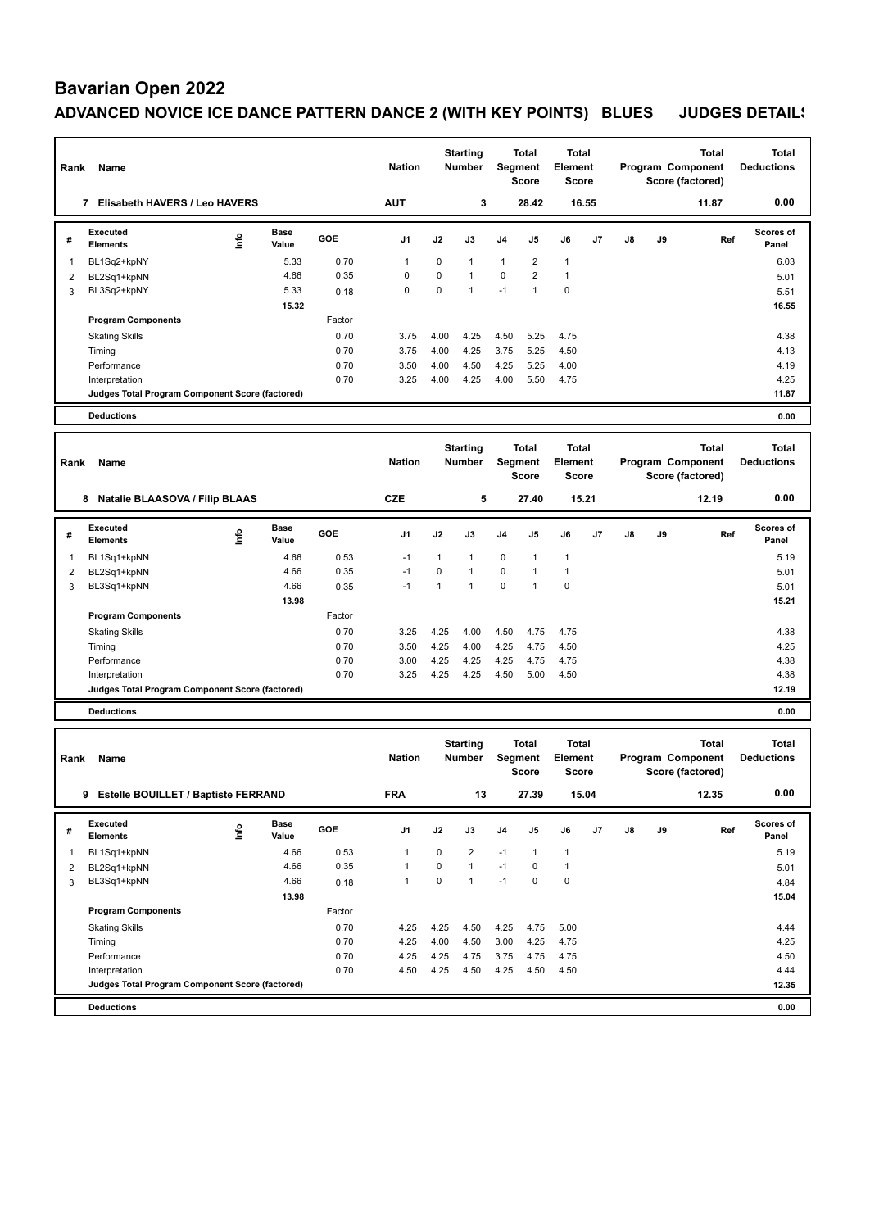# **Bavarian Open 2022**

### ADVANCED NOVICE ICE DANCE PATTERN DANCE 2 (WITH KEY POINTS) BLUES JUDGES DETAIL!

| Rank           | Name                                            |      |               |        | <b>Nation</b> |              | <b>Starting</b><br><b>Number</b> |                | <b>Total</b><br>Segment<br><b>Score</b> | <b>Total</b><br>Element<br><b>Score</b> |    |    |    | Total<br>Program Component<br>Score (factored) | <b>Total</b><br><b>Deductions</b> |
|----------------|-------------------------------------------------|------|---------------|--------|---------------|--------------|----------------------------------|----------------|-----------------------------------------|-----------------------------------------|----|----|----|------------------------------------------------|-----------------------------------|
|                | 7 Elisabeth HAVERS / Leo HAVERS                 |      |               |        | <b>AUT</b>    |              | 3                                |                | 28.42                                   | 16.55                                   |    |    |    | 11.87                                          | 0.00                              |
| #              | <b>Executed</b><br><b>Elements</b>              | ١nf٥ | Base<br>Value | GOE    | J1            | J2           | J3                               | J4             | J5                                      | J6                                      | J7 | J8 | J9 | Ref                                            | <b>Scores of</b><br>Panel         |
| 1              | BL1Sq2+kpNY                                     |      | 5.33          | 0.70   | 1             | 0            | $\mathbf{1}$                     | $\mathbf{1}$   | $\overline{2}$                          | $\mathbf{1}$                            |    |    |    |                                                | 6.03                              |
| 2              | BL2Sq1+kpNN                                     |      | 4.66          | 0.35   | $\mathbf 0$   | $\mathbf 0$  | 1                                | $\pmb{0}$      | $\overline{2}$                          | $\overline{1}$                          |    |    |    |                                                | 5.01                              |
| 3              | BL3Sq2+kpNY                                     |      | 5.33<br>15.32 | 0.18   | $\mathbf 0$   | 0            | $\mathbf{1}$                     | $-1$           | $\mathbf{1}$                            | 0                                       |    |    |    |                                                | 5.51<br>16.55                     |
|                | <b>Program Components</b>                       |      |               | Factor |               |              |                                  |                |                                         |                                         |    |    |    |                                                |                                   |
|                | <b>Skating Skills</b>                           |      |               | 0.70   | 3.75          | 4.00         | 4.25                             | 4.50           | 5.25                                    | 4.75                                    |    |    |    |                                                | 4.38                              |
|                | Timing                                          |      |               | 0.70   | 3.75          | 4.00         | 4.25                             | 3.75           | 5.25                                    | 4.50                                    |    |    |    |                                                | 4.13                              |
|                | Performance                                     |      |               | 0.70   | 3.50          | 4.00         | 4.50                             | 4.25           | 5.25                                    | 4.00                                    |    |    |    |                                                | 4.19                              |
|                | Interpretation                                  |      |               | 0.70   | 3.25          | 4.00         | 4.25                             | 4.00           | 5.50                                    | 4.75                                    |    |    |    |                                                | 4.25                              |
|                | Judges Total Program Component Score (factored) |      |               |        |               |              |                                  |                |                                         |                                         |    |    |    |                                                | 11.87                             |
|                | <b>Deductions</b>                               |      |               |        |               |              |                                  |                |                                         |                                         |    |    |    |                                                | 0.00                              |
|                |                                                 |      |               |        |               |              | <b>Starting</b>                  |                | <b>Total</b>                            | <b>Total</b>                            |    |    |    | Total                                          | <b>Total</b>                      |
| Rank           | Name                                            |      |               |        | <b>Nation</b> |              | <b>Number</b>                    |                | Segment                                 | Element                                 |    |    |    | Program Component                              | <b>Deductions</b>                 |
|                |                                                 |      |               |        |               |              |                                  |                | <b>Score</b>                            | <b>Score</b>                            |    |    |    | Score (factored)                               |                                   |
|                | 8 Natalie BLAASOVA / Filip BLAAS                |      |               |        | <b>CZE</b>    |              | 5                                |                | 27.40                                   | 15.21                                   |    |    |    | 12.19                                          | 0.00                              |
|                | <b>Executed</b>                                 |      | <b>Base</b>   | GOE    | J1            | J2           | J3                               | J <sub>4</sub> | J5                                      | J6                                      | J7 | J8 | J9 | Ref                                            | Scores of                         |
| #              | <b>Elements</b>                                 | lnfo | Value         |        |               |              |                                  |                |                                         |                                         |    |    |    |                                                | Panel                             |
| 1              | BL1Sq1+kpNN                                     |      | 4.66          | 0.53   | $-1$          | 1            | $\mathbf{1}$                     | 0              | 1                                       | 1                                       |    |    |    |                                                | 5.19                              |
| 2              | BL2Sq1+kpNN                                     |      | 4.66          | 0.35   | $-1$          | 0            | 1                                | $\pmb{0}$      | 1                                       | $\mathbf{1}$                            |    |    |    |                                                | 5.01                              |
| 3              | BL3Sq1+kpNN                                     |      | 4.66          | 0.35   | $-1$          | $\mathbf{1}$ | $\mathbf{1}$                     | $\mathbf 0$    | $\mathbf{1}$                            | 0                                       |    |    |    |                                                | 5.01                              |
|                | <b>Program Components</b>                       |      | 13.98         | Factor |               |              |                                  |                |                                         |                                         |    |    |    |                                                | 15.21                             |
|                | <b>Skating Skills</b>                           |      |               | 0.70   | 3.25          | 4.25         | 4.00                             | 4.50           | 4.75                                    | 4.75                                    |    |    |    |                                                | 4.38                              |
|                | Timing                                          |      |               | 0.70   | 3.50          | 4.25         | 4.00                             | 4.25           | 4.75                                    | 4.50                                    |    |    |    |                                                | 4.25                              |
|                | Performance                                     |      |               | 0.70   | 3.00          | 4.25         | 4.25                             | 4.25           | 4.75                                    | 4.75                                    |    |    |    |                                                | 4.38                              |
|                | Interpretation                                  |      |               | 0.70   | 3.25          | 4.25         | 4.25                             | 4.50           | 5.00                                    | 4.50                                    |    |    |    |                                                | 4.38                              |
|                | Judges Total Program Component Score (factored) |      |               |        |               |              |                                  |                |                                         |                                         |    |    |    |                                                | 12.19                             |
|                | <b>Deductions</b>                               |      |               |        |               |              |                                  |                |                                         |                                         |    |    |    |                                                | 0.00                              |
|                |                                                 |      |               |        |               |              | <b>Starting</b>                  |                | <b>Total</b>                            | <b>Total</b>                            |    |    |    | <b>Total</b>                                   | <b>Total</b>                      |
| Rank           | Name                                            |      |               |        | <b>Nation</b> |              | <b>Number</b>                    |                | Segment                                 | Element                                 |    |    |    | Program Component                              | <b>Deductions</b>                 |
|                |                                                 |      |               |        |               |              |                                  |                | <b>Score</b>                            | <b>Score</b>                            |    |    |    | Score (factored)                               |                                   |
|                | 9 Estelle BOUILLET / Baptiste FERRAND           |      |               |        | <b>FRA</b>    |              | 13                               |                | 27.39                                   | 15.04                                   |    |    |    | 12.35                                          | 0.00                              |
|                | Executed                                        |      | <b>Base</b>   |        |               |              |                                  |                |                                         |                                         |    |    |    |                                                | Scores of                         |
| #              | <b>Elements</b>                                 | lnfo | Value         | GOE    | J1            | J2           | J3                               | J4             | J5                                      | J6                                      | J7 | J8 | J9 | Ref                                            | Panel                             |
| 1              | BL1Sq1+kpNN                                     |      | 4.66          | 0.53   | $\mathbf{1}$  | 0            | 2                                | $-1$           | 1                                       | $\mathbf{1}$                            |    |    |    |                                                | 5.19                              |
| $\overline{c}$ | BL2Sq1+kpNN                                     |      | 4.66          | 0.35   | $\mathbf{1}$  | $\pmb{0}$    | $\mathbf{1}$                     | $-1$           | 0                                       | $\mathbf{1}$                            |    |    |    |                                                | 5.01                              |
| 3              | BL3Sq1+kpNN                                     |      | 4.66          | 0.18   | $\mathbf{1}$  | $\pmb{0}$    | $\mathbf{1}$                     | $-1$           | 0                                       | 0                                       |    |    |    |                                                | 4.84                              |
|                | <b>Program Components</b>                       |      | 13.98         | Factor |               |              |                                  |                |                                         |                                         |    |    |    |                                                | 15.04                             |
|                | <b>Skating Skills</b>                           |      |               | 0.70   | 4.25          | 4.25         | 4.50                             | 4.25           | 4.75                                    | 5.00                                    |    |    |    |                                                | 4.44                              |
|                | Timing                                          |      |               | 0.70   | 4.25          | 4.00         | 4.50                             | 3.00           | 4.25                                    | 4.75                                    |    |    |    |                                                | 4.25                              |
|                | Performance                                     |      |               | 0.70   | 4.25          | 4.25         | 4.75                             | 3.75           | 4.75                                    | 4.75                                    |    |    |    |                                                | 4.50                              |
|                | Interpretation                                  |      |               | 0.70   | 4.50          | 4.25         | 4.50                             | 4.25           | 4.50                                    | 4.50                                    |    |    |    |                                                | 4.44                              |
|                | Judges Total Program Component Score (factored) |      |               |        |               |              |                                  |                |                                         |                                         |    |    |    |                                                | 12.35                             |
|                | <b>Deductions</b>                               |      |               |        |               |              |                                  |                |                                         |                                         |    |    |    |                                                | 0.00                              |
|                |                                                 |      |               |        |               |              |                                  |                |                                         |                                         |    |    |    |                                                |                                   |